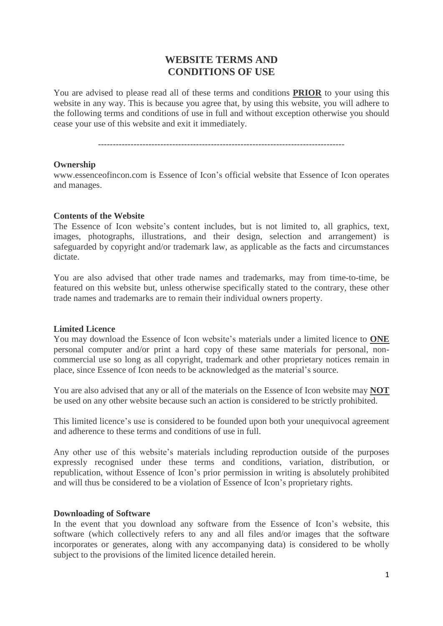# **WEBSITE TERMS AND CONDITIONS OF USE**

You are advised to please read all of these terms and conditions **PRIOR** to your using this website in any way. This is because you agree that, by using this website, you will adhere to the following terms and conditions of use in full and without exception otherwise you should cease your use of this website and exit it immediately.

-----------------------------------------------------------------------------------

#### **Ownership**

www.essenceofincon.com is Essence of Icon's official website that Essence of Icon operates and manages.

#### **Contents of the Website**

The Essence of Icon website's content includes, but is not limited to, all graphics, text, images, photographs, illustrations, and their design, selection and arrangement) is safeguarded by copyright and/or trademark law, as applicable as the facts and circumstances dictate.

You are also advised that other trade names and trademarks, may from time-to-time, be featured on this website but, unless otherwise specifically stated to the contrary, these other trade names and trademarks are to remain their individual owners property.

#### **Limited Licence**

You may download the Essence of Icon website's materials under a limited licence to **ONE** personal computer and/or print a hard copy of these same materials for personal, noncommercial use so long as all copyright, trademark and other proprietary notices remain in place, since Essence of Icon needs to be acknowledged as the material's source.

You are also advised that any or all of the materials on the Essence of Icon website may **NOT** be used on any other website because such an action is considered to be strictly prohibited.

This limited licence's use is considered to be founded upon both your unequivocal agreement and adherence to these terms and conditions of use in full.

Any other use of this website's materials including reproduction outside of the purposes expressly recognised under these terms and conditions, variation, distribution, or republication, without Essence of Icon's prior permission in writing is absolutely prohibited and will thus be considered to be a violation of Essence of Icon's proprietary rights.

#### **Downloading of Software**

In the event that you download any software from the Essence of Icon's website, this software (which collectively refers to any and all files and/or images that the software incorporates or generates, along with any accompanying data) is considered to be wholly subject to the provisions of the limited licence detailed herein.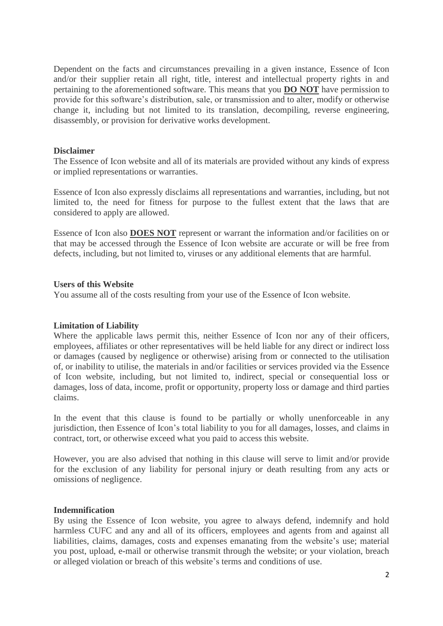Dependent on the facts and circumstances prevailing in a given instance, Essence of Icon and/or their supplier retain all right, title, interest and intellectual property rights in and pertaining to the aforementioned software. This means that you **DO NOT** have permission to provide for this software's distribution, sale, or transmission and to alter, modify or otherwise change it, including but not limited to its translation, decompiling, reverse engineering, disassembly, or provision for derivative works development.

## **Disclaimer**

The Essence of Icon website and all of its materials are provided without any kinds of express or implied representations or warranties.

Essence of Icon also expressly disclaims all representations and warranties, including, but not limited to, the need for fitness for purpose to the fullest extent that the laws that are considered to apply are allowed.

Essence of Icon also **DOES NOT** represent or warrant the information and/or facilities on or that may be accessed through the Essence of Icon website are accurate or will be free from defects, including, but not limited to, viruses or any additional elements that are harmful.

## **Users of this Website**

You assume all of the costs resulting from your use of the Essence of Icon website.

## **Limitation of Liability**

Where the applicable laws permit this, neither Essence of Icon nor any of their officers, employees, affiliates or other representatives will be held liable for any direct or indirect loss or damages (caused by negligence or otherwise) arising from or connected to the utilisation of, or inability to utilise, the materials in and/or facilities or services provided via the Essence of Icon website, including, but not limited to, indirect, special or consequential loss or damages, loss of data, income, profit or opportunity, property loss or damage and third parties claims.

In the event that this clause is found to be partially or wholly unenforceable in any jurisdiction, then Essence of Icon's total liability to you for all damages, losses, and claims in contract, tort, or otherwise exceed what you paid to access this website.

However, you are also advised that nothing in this clause will serve to limit and/or provide for the exclusion of any liability for personal injury or death resulting from any acts or omissions of negligence.

## **Indemnification**

By using the Essence of Icon website, you agree to always defend, indemnify and hold harmless CUFC and any and all of its officers, employees and agents from and against all liabilities, claims, damages, costs and expenses emanating from the website's use; material you post, upload, e-mail or otherwise transmit through the website; or your violation, breach or alleged violation or breach of this website's terms and conditions of use.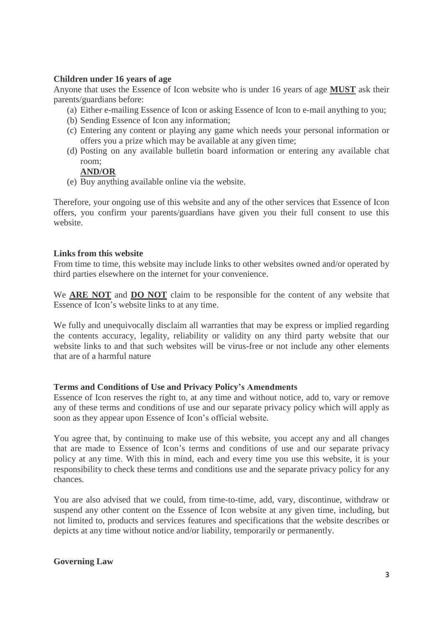## **Children under 16 years of age**

Anyone that uses the Essence of Icon website who is under 16 years of age **MUST** ask their parents/guardians before:

- (a) Either e-mailing Essence of Icon or asking Essence of Icon to e-mail anything to you;
- (b) Sending Essence of Icon any information;
- (c) Entering any content or playing any game which needs your personal information or offers you a prize which may be available at any given time;
- (d) Posting on any available bulletin board information or entering any available chat room;

# **AND/OR**

(e) Buy anything available online via the website.

Therefore, your ongoing use of this website and any of the other services that Essence of Icon offers, you confirm your parents/guardians have given you their full consent to use this website.

## **Links from this website**

From time to time, this website may include links to other websites owned and/or operated by third parties elsewhere on the internet for your convenience.

We **ARE NOT** and **DO NOT** claim to be responsible for the content of any website that Essence of Icon's website links to at any time.

We fully and unequivocally disclaim all warranties that may be express or implied regarding the contents accuracy, legality, reliability or validity on any third party website that our website links to and that such websites will be virus-free or not include any other elements that are of a harmful nature

## **Terms and Conditions of Use and Privacy Policy's Amendments**

Essence of Icon reserves the right to, at any time and without notice, add to, vary or remove any of these terms and conditions of use and our separate privacy policy which will apply as soon as they appear upon Essence of Icon's official website.

You agree that, by continuing to make use of this website, you accept any and all changes that are made to Essence of Icon's terms and conditions of use and our separate privacy policy at any time. With this in mind, each and every time you use this website, it is your responsibility to check these terms and conditions use and the separate privacy policy for any chances.

You are also advised that we could, from time-to-time, add, vary, discontinue, withdraw or suspend any other content on the Essence of Icon website at any given time, including, but not limited to, products and services features and specifications that the website describes or depicts at any time without notice and/or liability, temporarily or permanently.

## **Governing Law**